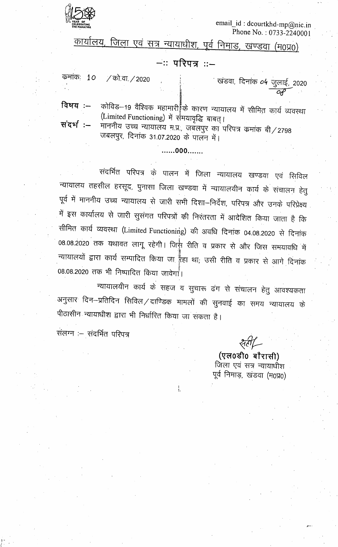

email\_id: dcourtkhd-mp@nic.in Phone No.:  $0733 - 2240001$ 

कार्यालय, जिला एवं सत्र न्यायाधीश, पूर्व निमाड, खण्डवा (म0प्र0)

## $-$ : परिपत्र : :-

कमांकः 10 / को.वा./2020

ं खंडवा, दिनांक **०५** जुलाई<u>,</u> 2020

संदर्भ :–

विषय $:=$ 

कोविड-19 वैश्विक महामारी के कारण न्यायालय में सीमित कार्य व्यवस्था (Limited Functioning) में समयावृद्धि बाबत्।

माननीय उच्च न्यायालय म.प्र., जबलपुर का परिपत्र कमांक बी/2798 जबलपुर, दिनांक 31.07.2020 के पालन में।

.......000.......

संदर्भित परिपत्र के पालन में जिला न्यायालय खण्डवा एवं सिविल न्यायालय तहसील हरसूद, पुनासा जिला खण्डवा में न्यायालयीन कार्य के संचालन हेतु पूर्व में माननीय उच्च न्यायालय से जारी सभी दिशा–निर्देश, परिपत्र और उनके परिप्रेक्ष्य में इस कार्यालय से जारी सुसंगत परिपत्रों की निरंतरता में आदेशित किया जाता है कि सीमित कार्य व्यवस्था (Limited Functioning) की अवधि दिनांक 04.08.2020 से दिनांक 08.08.2020 तक यथावत लागू रहेगी। जिस्ने रीति व प्रकार से और जिस समयावधि में न्यायालयों द्वारा कार्य सम्पादित किया जा हैहा था, उसी रीति व प्रकार से आगे दिनांक 08.08.2020 तक भी निष्पादित किया जावेगा।

न्यायालयीन कार्य के सहज व सुचारू ढंग से संचालन हेतु आवश्यकता अनुसार दिन–प्रतिदिन सिविल/दाण्डिक मामलों की सुनवाई का समय न्यायालय के पीठासीन न्यायाधीश द्वारा भी निर्धारित किया जा सकता है।

ł.

संलग्न :- संदर्भित परिपत्र

(एल0डी0 बौरासी) जिला एवं सत्र न्यायाधीश पूर्व निमाड़, खंडवा (म0प्र0)